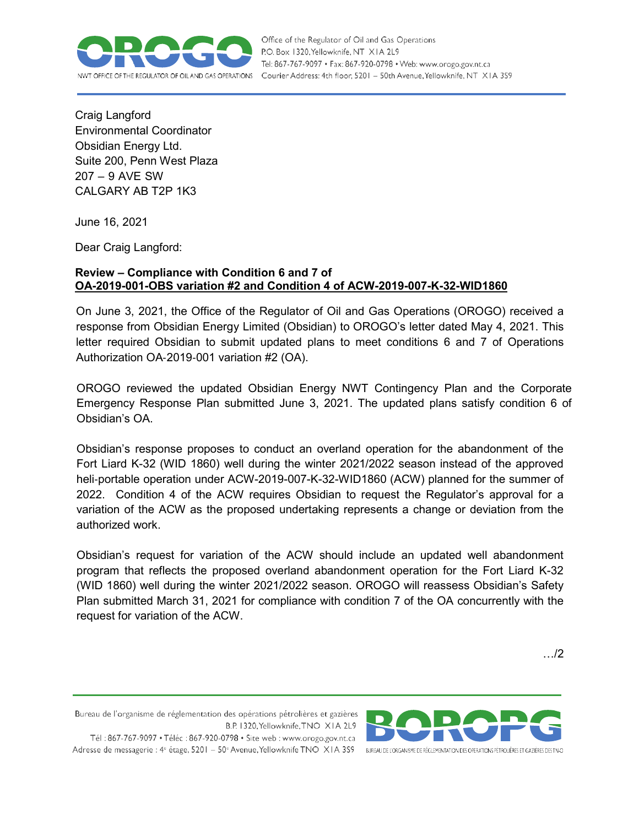

Office of the Regulator of Oil and Gas Operations P.O. Box 1320, Yellowknife, NT XIA 2L9 Tel: 867-767-9097 • Fax: 867-920-0798 • Web: www.orogo.gov.nt.ca FFICE OF THE REGULATOR OF OIL AND GAS OPERATIONS Courier Address: 4th floor, 5201 - 50th Avenue, Yellowknife, NT XIA 3S9

Craig Langford Environmental Coordinator Obsidian Energy Ltd. Suite 200, Penn West Plaza 207 – 9 AVE SW CALGARY AB T2P 1K3

June 16, 2021

Dear Craig Langford:

## **Review – Compliance with Condition 6 and 7 of OA-2019-001-OBS variation #2 and Condition 4 of ACW-2019-007-K-32-WID1860**

On June 3, 2021, the Office of the Regulator of Oil and Gas Operations (OROGO) received a response from Obsidian Energy Limited (Obsidian) to OROGO's letter dated May 4, 2021. This letter required Obsidian to submit updated plans to meet conditions 6 and 7 of Operations Authorization OA‐2019‐001 variation #2 (OA).

OROGO reviewed the updated Obsidian Energy NWT Contingency Plan and the Corporate Emergency Response Plan submitted June 3, 2021. The updated plans satisfy condition 6 of Obsidian's OA.

Obsidian's response proposes to conduct an overland operation for the abandonment of the Fort Liard K-32 (WID 1860) well during the winter 2021/2022 season instead of the approved heli‐portable operation under ACW-2019-007-K-32-WID1860 (ACW) planned for the summer of 2022. Condition 4 of the ACW requires Obsidian to request the Regulator's approval for a variation of the ACW as the proposed undertaking represents a change or deviation from the authorized work.

Obsidian's request for variation of the ACW should include an updated well abandonment program that reflects the proposed overland abandonment operation for the Fort Liard K-32 (WID 1860) well during the winter 2021/2022 season. OROGO will reassess Obsidian's Safety Plan submitted March 31, 2021 for compliance with condition 7 of the OA concurrently with the request for variation of the ACW.

…/2

Bureau de l'organisme de réglementation des opérations pétrolières et gazières B.P. 1320, Yellowknife, TNO XIA 2L9 Tél: 867-767-9097 • Téléc: 867-920-0798 • Site web: www.orogo.gov.nt.ca Adresse de messagerie : 4<sup>e</sup> étage, 5201 - 50<sup>e</sup> Avenue, Yellowknife TNO XIA 3S9